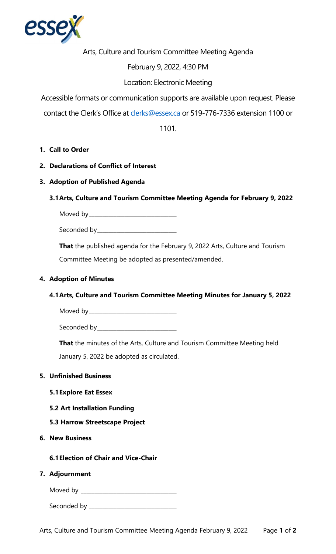

Arts, Culture and Tourism Committee Meeting Agenda

## February 9, 2022, 4:30 PM

# Location: Electronic Meeting

Accessible formats or communication supports are available upon request. Please

contact the Clerk's Office at [clerks@essex.ca](mailto:clerks@essex.ca) or 519-776-7336 extension 1100 or

1101.

## **1. Call to Order**

- **2. Declarations of Conflict of Interest**
- **3. Adoption of Published Agenda**

## **3.1Arts, Culture and Tourism Committee Meeting Agenda for February 9, 2022**

Moved by\_\_\_\_\_\_\_\_\_\_\_\_\_\_\_\_\_\_\_\_\_\_\_\_\_\_\_\_\_\_\_\_ Seconded by\_\_\_\_\_\_\_\_\_\_\_\_\_\_\_\_\_\_\_\_\_\_\_\_\_\_\_\_\_

**That** the published agenda for the February 9, 2022 Arts, Culture and Tourism Committee Meeting be adopted as presented/amended.

### **4. Adoption of Minutes**

## **4.1Arts, Culture and Tourism Committee Meeting Minutes for January 5, 2022**

Moved by\_\_\_\_\_\_\_\_\_\_\_\_\_\_\_\_\_\_\_\_\_\_\_\_\_\_\_\_\_\_\_\_ Seconded by\_\_\_\_\_\_\_\_\_\_\_\_\_\_\_\_\_\_\_\_\_\_\_\_\_\_\_\_\_

**That** the minutes of the Arts, Culture and Tourism Committee Meeting held January 5, 2022 be adopted as circulated.

#### **5. Unfinished Business**

- **5.1Explore Eat Essex**
- **5.2 Art Installation Funding**
- **5.3 Harrow Streetscape Project**
- **6. New Business**

**6.1Election of Chair and Vice-Chair** 

#### **7. Adjournment**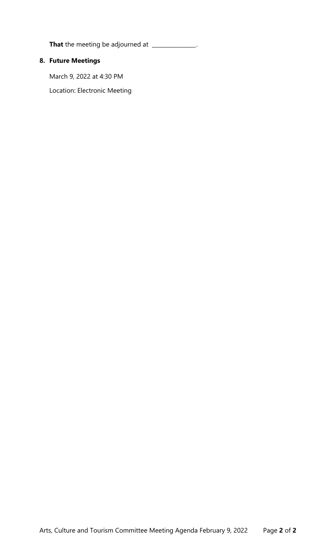**That** the meeting be adjourned at **That**  $\frac{1}{2}$ 

# **8. Future Meetings**

March 9, 2022 at 4:30 PM

Location: Electronic Meeting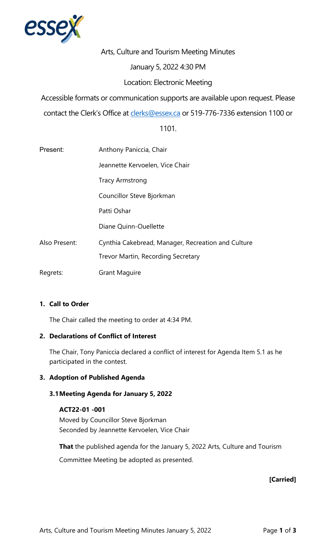

Arts, Culture and Tourism Meeting Minutes

#### January 5, 2022 4:30 PM

## Location: Electronic Meeting

Accessible formats or communication supports are available upon request. Please

contact the Clerk's Office at [clerks@essex.ca](mailto:clerks@essex.ca) or 519-776-7336 extension 1100 or

1101.

| Present:      | Anthony Paniccia, Chair                            |
|---------------|----------------------------------------------------|
|               | Jeannette Kervoelen, Vice Chair                    |
|               | <b>Tracy Armstrong</b>                             |
|               | Councillor Steve Bjorkman                          |
|               | Patti Oshar                                        |
|               | Diane Quinn-Ouellette                              |
| Also Present: | Cynthia Cakebread, Manager, Recreation and Culture |
|               | Trevor Martin, Recording Secretary                 |
| Regrets:      | <b>Grant Maguire</b>                               |

## **1. Call to Order**

The Chair called the meeting to order at 4:34 PM.

#### **2. Declarations of Conflict of Interest**

The Chair, Tony Paniccia declared a conflict of interest for Agenda Item 5.1 as he participated in the contest.

## **3. Adoption of Published Agenda**

#### **3.1Meeting Agenda for January 5, 2022**

#### **ACT22-01 -001**

 Seconded by Jeannette Kervoelen, Vice Chair Moved by Councillor Steve Bjorkman

 Committee Meeting be adopted as presented. **That** the published agenda for the January 5, 2022 Arts, Culture and Tourism

## **[Carried]**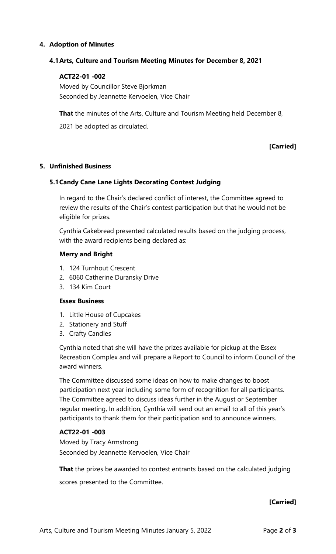### **4. Adoption of Minutes**

#### **4.1Arts, Culture and Tourism Meeting Minutes for December 8, 2021**

#### **ACT22-01 -002**

 Moved by Councillor Steve Bjorkman Seconded by Jeannette Kervoelen, Vice Chair

**That** the minutes of the Arts, Culture and Tourism Meeting held December 8,

2021 be adopted as circulated.

## **[Carried]**

#### **5. Unfinished Business**

#### **5.1Candy Cane Lane Lights Decorating Contest Judging**

 In regard to the Chair's declared conflict of interest, the Committee agreed to review the results of the Chair's contest participation but that he would not be eligible for prizes.

Cynthia Cakebread presented calculated results based on the judging process, with the award recipients being declared as:

#### **Merry and Bright**

- 1. 124 Turnhout Crescent
- 2. 6060 Catherine Duransky Drive
- 3. 134 Kim Court

#### **Essex Business**

- 1. Little House of Cupcakes
- 2. Stationery and Stuff
- 3. Crafty Candles

 Cynthia noted that she will have the prizes available for pickup at the Essex Recreation Complex and will prepare a Report to Council to inform Council of the award winners.

 participation next year including some form of recognition for all participants. The Committee agreed to discuss ideas further in the August or September participants to thank them for their participation and to announce winners. The Committee discussed some ideas on how to make changes to boost regular meeting, In addition, Cynthia will send out an email to all of this year's

#### **ACT22-01 -003**

 Moved by Tracy Armstrong Seconded by Jeannette Kervoelen, Vice Chair

**That** the prizes be awarded to contest entrants based on the calculated judging

scores presented to the Committee.

#### **[Carried]**